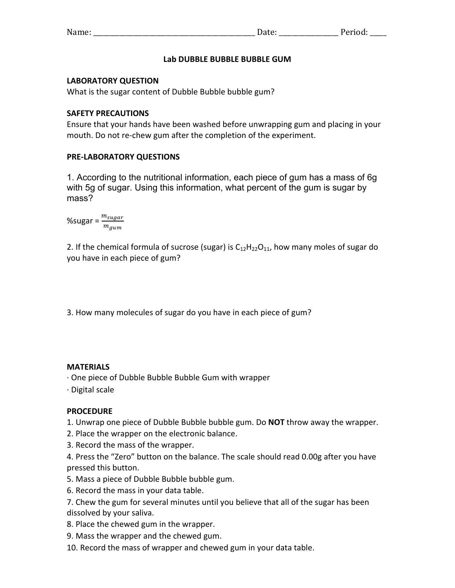| <b>RT</b><br>Name | wu. |
|-------------------|-----|
|                   |     |

# Lab DUBBLE BUBBLE BUBBLE GUM

#### **LABORATORY QUESTION**

What is the sugar content of Dubble Bubble bubble gum?

### **SAFETY PRECAUTIONS**

Ensure that your hands have been washed before unwrapping gum and placing in your mouth. Do not re-chew gum after the completion of the experiment.

# **PRE-LABORATORY QUESTIONS**

1. According to the nutritional information, each piece of gum has a mass of 6g with 5g of sugar. Using this information, what percent of the gum is sugar by mass?

%sugar =  $\frac{m_{sugar}}{m_{gum}}$ 

2. If the chemical formula of sucrose (sugar) is  $C_{12}H_{22}O_{11}$ , how many moles of sugar do you have in each piece of gum?

3. How many molecules of sugar do you have in each piece of gum?

#### **MATERIALS**

 $\cdot$  One piece of Dubble Bubble Bubble Gum with wrapper

 $\cdot$  Digital scale

#### **PROCEDURE**

1. Unwrap one piece of Dubble Bubble bubble gum. Do **NOT** throw away the wrapper.

2. Place the wrapper on the electronic balance.

3. Record the mass of the wrapper.

4. Press the "Zero" button on the balance. The scale should read 0.00g after you have pressed this button.

- 5. Mass a piece of Dubble Bubble bubble gum.
- 6. Record the mass in your data table.

7. Chew the gum for several minutes until you believe that all of the sugar has been dissolved by your saliva.

8. Place the chewed gum in the wrapper.

9. Mass the wrapper and the chewed gum.

10. Record the mass of wrapper and chewed gum in your data table.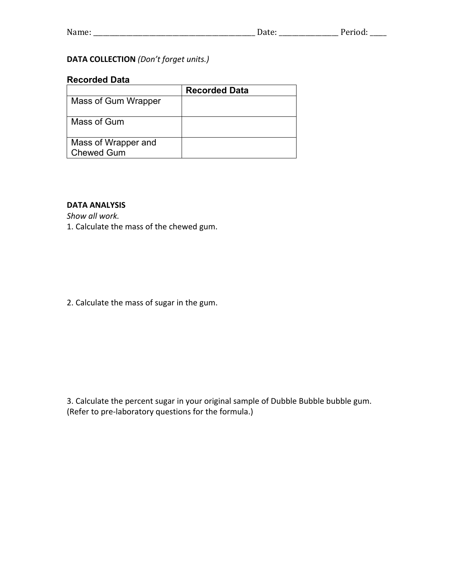| <b>NT</b><br>Name<br>---- | wu.<br>- |
|---------------------------|----------|
|---------------------------|----------|

# **DATA COLLECTION** (Don't forget units.)

#### **Recorded Data**

|                                          | <b>Recorded Data</b> |
|------------------------------------------|----------------------|
| Mass of Gum Wrapper                      |                      |
| Mass of Gum                              |                      |
| Mass of Wrapper and<br><b>Chewed Gum</b> |                      |

# **DATA ANALYSIS**

Show all work. 1. Calculate the mass of the chewed gum.

2. Calculate the mass of sugar in the gum.

3. Calculate the percent sugar in your original sample of Dubble Bubble bubble gum. (Refer to pre-laboratory questions for the formula.)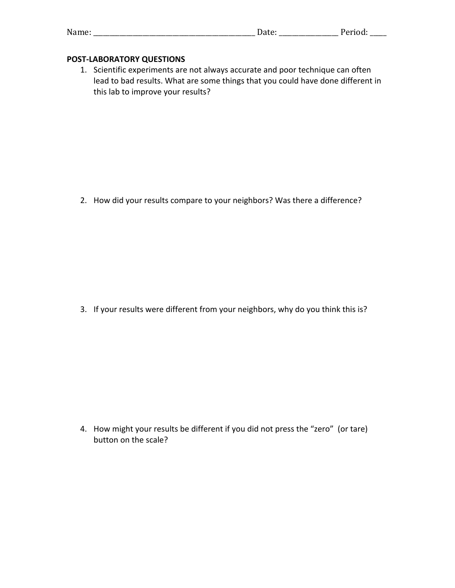| Name: |  | - - -<br>. .vu. |
|-------|--|-----------------|
|-------|--|-----------------|

### **POST-LABORATORY QUESTIONS**

1. Scientific experiments are not always accurate and poor technique can often lead to bad results. What are some things that you could have done different in this lab to improve your results?

2. How did your results compare to your neighbors? Was there a difference?

3. If your results were different from your neighbors, why do you think this is?

4. How might your results be different if you did not press the "zero" (or tare) button on the scale?